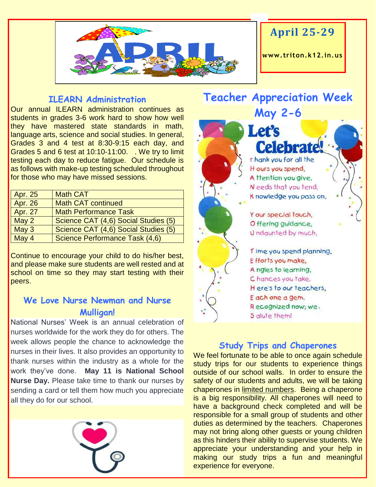

# **April 25-29**

**www. triton.k12.in.us**

#### **ILEARN Administration**

Our annual ILEARN administration continues as students in grades 3-6 work hard to show how well they have mastered state standards in math, language arts, science and social studies. In general, Grades 3 and 4 test at 8:30-9:15 each day, and Grades 5 and 6 test at 10:10-11:00. . We try to limit testing each day to reduce fatigue. Our schedule is as follows with make-up testing scheduled throughout for those who may have missed sessions.

| Apr. 25        | <b>Math CAT</b>                      |
|----------------|--------------------------------------|
| <b>Apr. 26</b> | <b>Math CAT continued</b>            |
| <b>Apr. 27</b> | <b>Math Performance Task</b>         |
| May 2          | Science CAT (4,6) Social Studies (5) |
| May 3          | Science CAT (4,6) Social Studies (5) |
| May 4          | Science Performance Task (4,6)       |

Continue to encourage your child to do his/her best, and please make sure students are well rested and at school on time so they may start testing with their peers.

### **We Love Nurse Newman and Nurse Mulligan!**

National Nurses' Week is an annual celebration of nurses worldwide for the work they do for others. The week allows people the chance to acknowledge the nurses in their lives. It also provides an opportunity to thank nurses within the industry as a whole for the work they've done. **May 11 is National School Nurse Day.** Please take time to thank our nurses by sending a card or tell them how much you appreciate all they do for our school.



# **Teacher Appreciation Week May 2-6**

**Let's Celebrate** I hank you for all the H ours you spend, A ttention you give. Needs that you tend. K nowledge you pass on, Y our special touch. Offering guidance, Undaunted by much.

Time you spend planning, Efforts you make, A ngles to learning. Chances you take. Here's to our teachers, E ach one a gem. Recognized now; we S alute them!

#### **Study Trips and Chaperones**

We feel fortunate to be able to once again schedule study trips for our students to experience things outside of our school walls. In order to ensure the safety of our students and adults, we will be taking chaperones in limited numbers. Being a chaperone is a big responsibility. All chaperones will need to have a background check completed and will be responsible for a small group of students and other duties as determined by the teachers. Chaperones may not bring along other guests or young children as this hinders their ability to supervise students. We appreciate your understanding and your help in making our study trips a fun and meaningful experience for everyone.